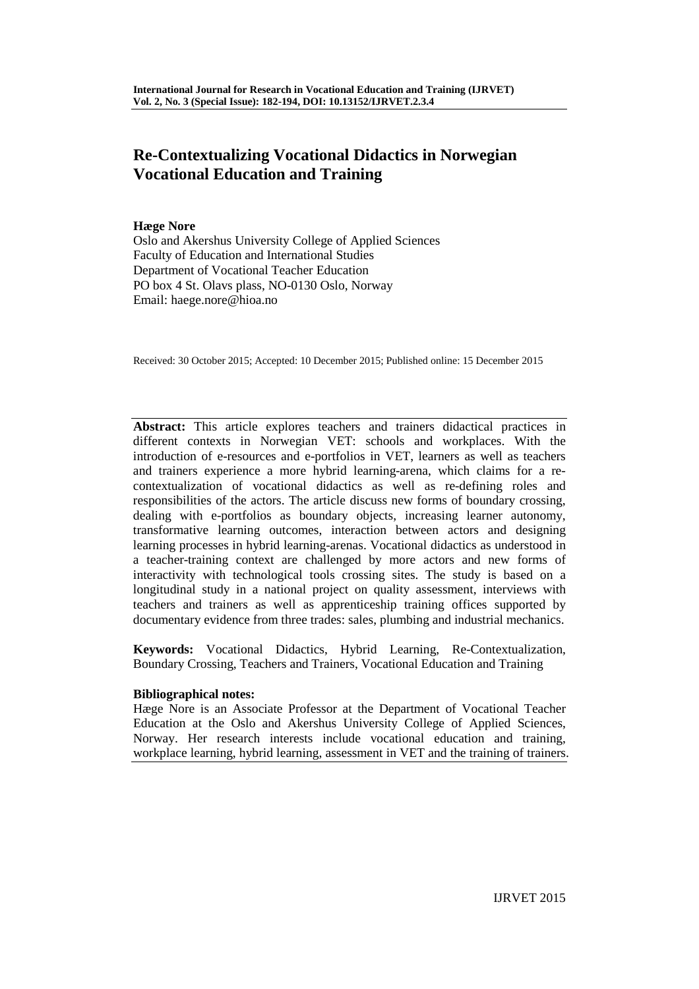# **Re-Contextualizing Vocational Didactics in Norwegian Vocational Education and Training**

# **Hæge Nore**

Oslo and Akershus University College of Applied Sciences Faculty of Education and International Studies Department of Vocational Teacher Education PO box 4 St. Olavs plass, NO-0130 Oslo, Norway Email: haege.nore@hioa.no

Received: 30 October 2015; Accepted: 10 December 2015; Published online: 15 December 2015

**Abstract:** This article explores teachers and trainers didactical practices in different contexts in Norwegian VET: schools and workplaces. With the introduction of e-resources and e-portfolios in VET, learners as well as teachers and trainers experience a more hybrid learning-arena, which claims for a recontextualization of vocational didactics as well as re-defining roles and responsibilities of the actors. The article discuss new forms of boundary crossing, dealing with e-portfolios as boundary objects, increasing learner autonomy, transformative learning outcomes, interaction between actors and designing learning processes in hybrid learning-arenas. Vocational didactics as understood in a teacher-training context are challenged by more actors and new forms of interactivity with technological tools crossing sites. The study is based on a longitudinal study in a national project on quality assessment, interviews with teachers and trainers as well as apprenticeship training offices supported by documentary evidence from three trades: sales, plumbing and industrial mechanics.

**Keywords:** Vocational Didactics, Hybrid Learning, Re-Contextualization, Boundary Crossing, Teachers and Trainers, Vocational Education and Training

# **Bibliographical notes:**

Hæge Nore is an Associate Professor at the Department of Vocational Teacher Education at the Oslo and Akershus University College of Applied Sciences, Norway. Her research interests include vocational education and training, workplace learning, hybrid learning, assessment in VET and the training of trainers.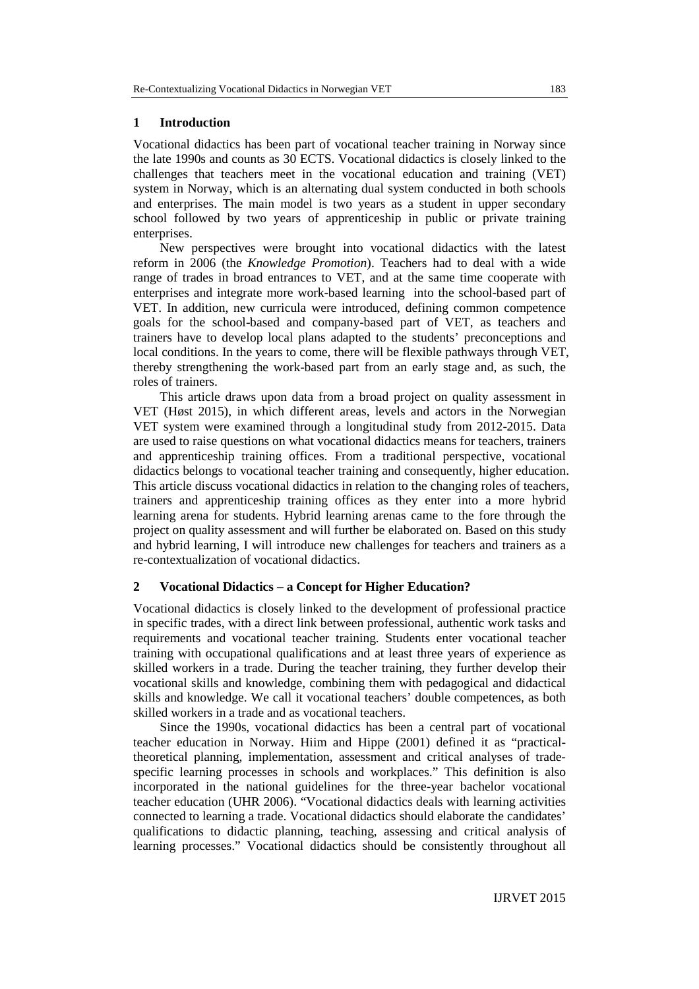### **1 Introduction**

Vocational didactics has been part of vocational teacher training in Norway since the late 1990s and counts as 30 ECTS. Vocational didactics is closely linked to the challenges that teachers meet in the vocational education and training (VET) system in Norway, which is an alternating dual system conducted in both schools and enterprises. The main model is two years as a student in upper secondary school followed by two years of apprenticeship in public or private training enterprises.

New perspectives were brought into vocational didactics with the latest reform in 2006 (the *Knowledge Promotion*). Teachers had to deal with a wide range of trades in broad entrances to VET, and at the same time cooperate with enterprises and integrate more work-based learning into the school-based part of VET. In addition, new curricula were introduced, defining common competence goals for the school-based and company-based part of VET, as teachers and trainers have to develop local plans adapted to the students' preconceptions and local conditions. In the years to come, there will be flexible pathways through VET, thereby strengthening the work-based part from an early stage and, as such, the roles of trainers.

This article draws upon data from a broad project on quality assessment in VET (Høst 2015), in which different areas, levels and actors in the Norwegian VET system were examined through a longitudinal study from 2012-2015. Data are used to raise questions on what vocational didactics means for teachers, trainers and apprenticeship training offices. From a traditional perspective, vocational didactics belongs to vocational teacher training and consequently, higher education. This article discuss vocational didactics in relation to the changing roles of teachers, trainers and apprenticeship training offices as they enter into a more hybrid learning arena for students. Hybrid learning arenas came to the fore through the project on quality assessment and will further be elaborated on. Based on this study and hybrid learning, I will introduce new challenges for teachers and trainers as a re-contextualization of vocational didactics.

### **2 Vocational Didactics – a Concept for Higher Education?**

Vocational didactics is closely linked to the development of professional practice in specific trades, with a direct link between professional, authentic work tasks and requirements and vocational teacher training. Students enter vocational teacher training with occupational qualifications and at least three years of experience as skilled workers in a trade. During the teacher training, they further develop their vocational skills and knowledge, combining them with pedagogical and didactical skills and knowledge. We call it vocational teachers' double competences, as both skilled workers in a trade and as vocational teachers.

Since the 1990s, vocational didactics has been a central part of vocational teacher education in Norway. Hiim and Hippe (2001) defined it as "practicaltheoretical planning, implementation, assessment and critical analyses of tradespecific learning processes in schools and workplaces." This definition is also incorporated in the national guidelines for the three-year bachelor vocational teacher education (UHR 2006). "Vocational didactics deals with learning activities connected to learning a trade. Vocational didactics should elaborate the candidates' qualifications to didactic planning, teaching, assessing and critical analysis of learning processes." Vocational didactics should be consistently throughout all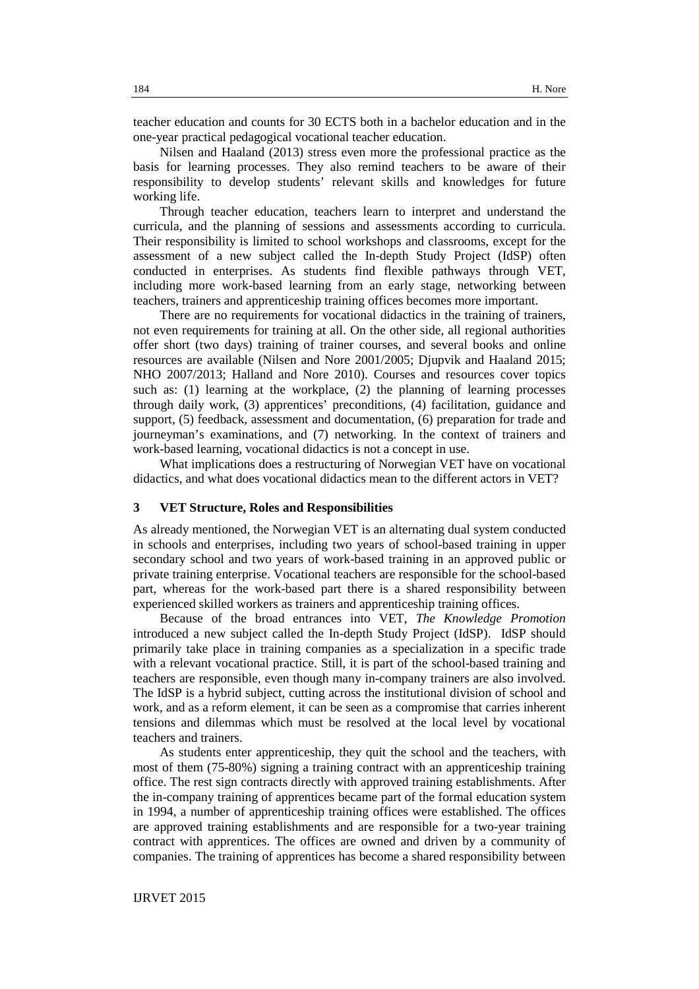teacher education and counts for 30 ECTS both in a bachelor education and in the one-year practical pedagogical vocational teacher education.

Nilsen and Haaland (2013) stress even more the professional practice as the basis for learning processes. They also remind teachers to be aware of their responsibility to develop students' relevant skills and knowledges for future working life.

Through teacher education, teachers learn to interpret and understand the curricula, and the planning of sessions and assessments according to curricula. Their responsibility is limited to school workshops and classrooms, except for the assessment of a new subject called the In-depth Study Project (IdSP) often conducted in enterprises. As students find flexible pathways through VET, including more work-based learning from an early stage, networking between teachers, trainers and apprenticeship training offices becomes more important.

There are no requirements for vocational didactics in the training of trainers, not even requirements for training at all. On the other side, all regional authorities offer short (two days) training of trainer courses, and several books and online resources are available (Nilsen and Nore 2001/2005; Djupvik and Haaland 2015; NHO 2007/2013; Halland and Nore 2010). Courses and resources cover topics such as: (1) learning at the workplace, (2) the planning of learning processes through daily work, (3) apprentices' preconditions, (4) facilitation, guidance and support, (5) feedback, assessment and documentation, (6) preparation for trade and journeyman's examinations, and (7) networking. In the context of trainers and work-based learning, vocational didactics is not a concept in use.

What implications does a restructuring of Norwegian VET have on vocational didactics, and what does vocational didactics mean to the different actors in VET?

### **3 VET Structure, Roles and Responsibilities**

As already mentioned, the Norwegian VET is an alternating dual system conducted in schools and enterprises, including two years of school-based training in upper secondary school and two years of work-based training in an approved public or private training enterprise. Vocational teachers are responsible for the school-based part, whereas for the work-based part there is a shared responsibility between experienced skilled workers as trainers and apprenticeship training offices.

Because of the broad entrances into VET, *The Knowledge Promotion* introduced a new subject called the In-depth Study Project (IdSP). IdSP should primarily take place in training companies as a specialization in a specific trade with a relevant vocational practice. Still, it is part of the school-based training and teachers are responsible, even though many in-company trainers are also involved. The IdSP is a hybrid subject, cutting across the institutional division of school and work, and as a reform element, it can be seen as a compromise that carries inherent tensions and dilemmas which must be resolved at the local level by vocational teachers and trainers.

As students enter apprenticeship, they quit the school and the teachers, with most of them (75-80%) signing a training contract with an apprenticeship training office. The rest sign contracts directly with approved training establishments. After the in-company training of apprentices became part of the formal education system in 1994, a number of apprenticeship training offices were established. The offices are approved training establishments and are responsible for a two-year training contract with apprentices. The offices are owned and driven by a community of companies. The training of apprentices has become a shared responsibility between

IJRVET 2015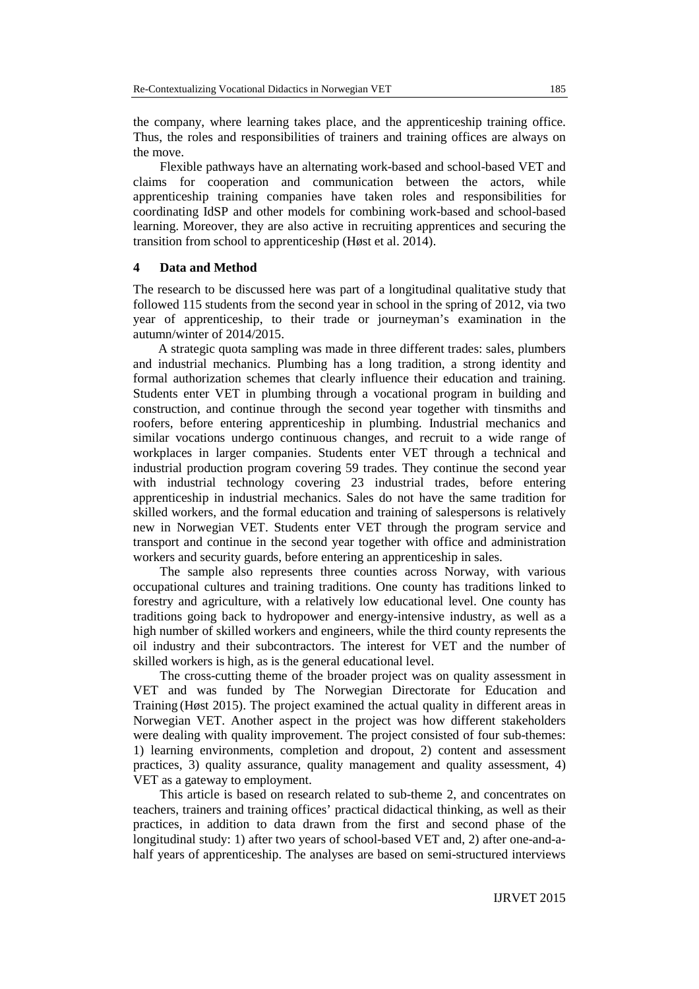the company, where learning takes place, and the apprenticeship training office. Thus, the roles and responsibilities of trainers and training offices are always on the move.

Flexible pathways have an alternating work-based and school-based VET and claims for cooperation and communication between the actors, while apprenticeship training companies have taken roles and responsibilities for coordinating IdSP and other models for combining work-based and school-based learning. Moreover, they are also active in recruiting apprentices and securing the transition from school to apprenticeship (Høst et al. 2014).

### **4 Data and Method**

The research to be discussed here was part of a longitudinal qualitative study that followed 115 students from the second year in school in the spring of 2012, via two year of apprenticeship, to their trade or journeyman's examination in the autumn/winter of 2014/2015.

A strategic quota sampling was made in three different trades: sales, plumbers and industrial mechanics. Plumbing has a long tradition, a strong identity and formal authorization schemes that clearly influence their education and training. Students enter VET in plumbing through a vocational program in building and construction, and continue through the second year together with tinsmiths and roofers, before entering apprenticeship in plumbing. Industrial mechanics and similar vocations undergo continuous changes, and recruit to a wide range of workplaces in larger companies. Students enter VET through a technical and industrial production program covering 59 trades. They continue the second year with industrial technology covering 23 industrial trades, before entering apprenticeship in industrial mechanics. Sales do not have the same tradition for skilled workers, and the formal education and training of salespersons is relatively new in Norwegian VET. Students enter VET through the program service and transport and continue in the second year together with office and administration workers and security guards, before entering an apprenticeship in sales.

The sample also represents three counties across Norway, with various occupational cultures and training traditions. One county has traditions linked to forestry and agriculture, with a relatively low educational level. One county has traditions going back to hydropower and energy-intensive industry, as well as a high number of skilled workers and engineers, while the third county represents the oil industry and their subcontractors. The interest for VET and the number of skilled workers is high, as is the general educational level.

The cross-cutting theme of the broader project was on quality assessment in VET and was funded by The Norwegian Directorate for Education and Training (Høst 2015). The project examined the actual quality in different areas in Norwegian VET. Another aspect in the project was how different stakeholders were dealing with quality improvement. The project consisted of four sub-themes: 1) learning environments, completion and dropout, 2) content and assessment practices, 3) quality assurance, quality management and quality assessment, 4) VET as a gateway to employment.

This article is based on research related to sub-theme 2, and concentrates on teachers, trainers and training offices' practical didactical thinking, as well as their practices, in addition to data drawn from the first and second phase of the longitudinal study: 1) after two years of school-based VET and, 2) after one-and-ahalf years of apprenticeship. The analyses are based on semi-structured interviews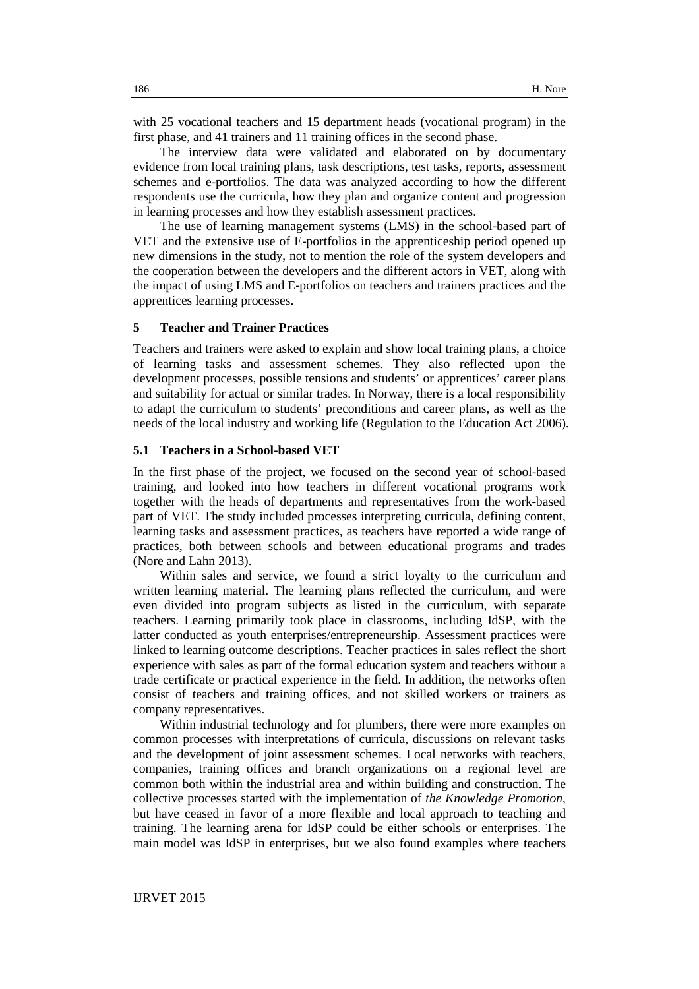with 25 vocational teachers and 15 department heads (vocational program) in the first phase, and 41 trainers and 11 training offices in the second phase.

The interview data were validated and elaborated on by documentary evidence from local training plans, task descriptions, test tasks, reports, assessment schemes and e-portfolios. The data was analyzed according to how the different respondents use the curricula, how they plan and organize content and progression in learning processes and how they establish assessment practices.

The use of learning management systems (LMS) in the school-based part of VET and the extensive use of E-portfolios in the apprenticeship period opened up new dimensions in the study, not to mention the role of the system developers and the cooperation between the developers and the different actors in VET, along with the impact of using LMS and E-portfolios on teachers and trainers practices and the apprentices learning processes.

# **5 Teacher and Trainer Practices**

Teachers and trainers were asked to explain and show local training plans, a choice of learning tasks and assessment schemes. They also reflected upon the development processes, possible tensions and students' or apprentices' career plans and suitability for actual or similar trades. In Norway, there is a local responsibility to adapt the curriculum to students' preconditions and career plans, as well as the needs of the local industry and working life (Regulation to the Education Act 2006).

# **5.1 Teachers in a School-based VET**

In the first phase of the project, we focused on the second year of school-based training, and looked into how teachers in different vocational programs work together with the heads of departments and representatives from the work-based part of VET. The study included processes interpreting curricula, defining content, learning tasks and assessment practices, as teachers have reported a wide range of practices, both between schools and between educational programs and trades (Nore and Lahn 2013).

Within sales and service, we found a strict loyalty to the curriculum and written learning material. The learning plans reflected the curriculum, and were even divided into program subjects as listed in the curriculum, with separate teachers. Learning primarily took place in classrooms, including IdSP, with the latter conducted as youth enterprises/entrepreneurship. Assessment practices were linked to learning outcome descriptions. Teacher practices in sales reflect the short experience with sales as part of the formal education system and teachers without a trade certificate or practical experience in the field. In addition, the networks often consist of teachers and training offices, and not skilled workers or trainers as company representatives.

Within industrial technology and for plumbers, there were more examples on common processes with interpretations of curricula, discussions on relevant tasks and the development of joint assessment schemes. Local networks with teachers, companies, training offices and branch organizations on a regional level are common both within the industrial area and within building and construction. The collective processes started with the implementation of *the Knowledge Promotion*, but have ceased in favor of a more flexible and local approach to teaching and training. The learning arena for IdSP could be either schools or enterprises. The main model was IdSP in enterprises, but we also found examples where teachers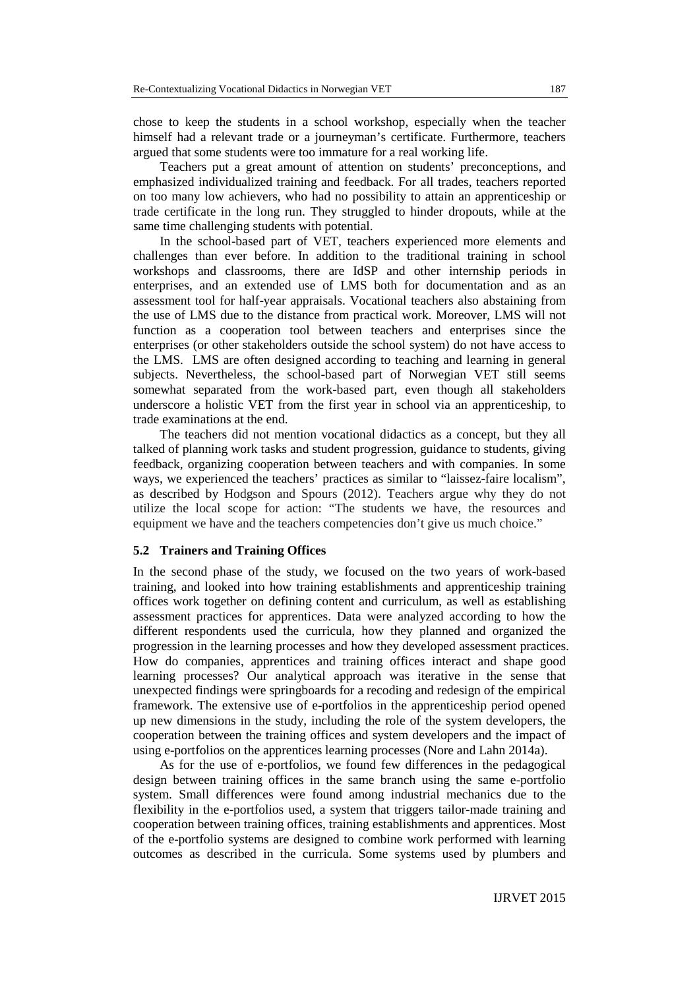chose to keep the students in a school workshop, especially when the teacher himself had a relevant trade or a journeyman's certificate. Furthermore, teachers argued that some students were too immature for a real working life.

Teachers put a great amount of attention on students' preconceptions, and emphasized individualized training and feedback. For all trades, teachers reported on too many low achievers, who had no possibility to attain an apprenticeship or trade certificate in the long run. They struggled to hinder dropouts, while at the same time challenging students with potential.

In the school-based part of VET, teachers experienced more elements and challenges than ever before. In addition to the traditional training in school workshops and classrooms, there are IdSP and other internship periods in enterprises, and an extended use of LMS both for documentation and as an assessment tool for half-year appraisals. Vocational teachers also abstaining from the use of LMS due to the distance from practical work. Moreover, LMS will not function as a cooperation tool between teachers and enterprises since the enterprises (or other stakeholders outside the school system) do not have access to the LMS. LMS are often designed according to teaching and learning in general subjects. Nevertheless, the school-based part of Norwegian VET still seems somewhat separated from the work-based part, even though all stakeholders underscore a holistic VET from the first year in school via an apprenticeship, to trade examinations at the end.

The teachers did not mention vocational didactics as a concept, but they all talked of planning work tasks and student progression, guidance to students, giving feedback, organizing cooperation between teachers and with companies. In some ways, we experienced the teachers' practices as similar to "laissez-faire localism", as described by Hodgson and Spours (2012). Teachers argue why they do not utilize the local scope for action: "The students we have, the resources and equipment we have and the teachers competencies don't give us much choice."

### **5.2 Trainers and Training Offices**

In the second phase of the study, we focused on the two years of work-based training, and looked into how training establishments and apprenticeship training offices work together on defining content and curriculum, as well as establishing assessment practices for apprentices. Data were analyzed according to how the different respondents used the curricula, how they planned and organized the progression in the learning processes and how they developed assessment practices. How do companies, apprentices and training offices interact and shape good learning processes? Our analytical approach was iterative in the sense that unexpected findings were springboards for a recoding and redesign of the empirical framework. The extensive use of e-portfolios in the apprenticeship period opened up new dimensions in the study, including the role of the system developers, the cooperation between the training offices and system developers and the impact of using e-portfolios on the apprentices learning processes (Nore and Lahn 2014a).

As for the use of e-portfolios, we found few differences in the pedagogical design between training offices in the same branch using the same e-portfolio system. Small differences were found among industrial mechanics due to the flexibility in the e-portfolios used, a system that triggers tailor-made training and cooperation between training offices, training establishments and apprentices. Most of the e-portfolio systems are designed to combine work performed with learning outcomes as described in the curricula. Some systems used by plumbers and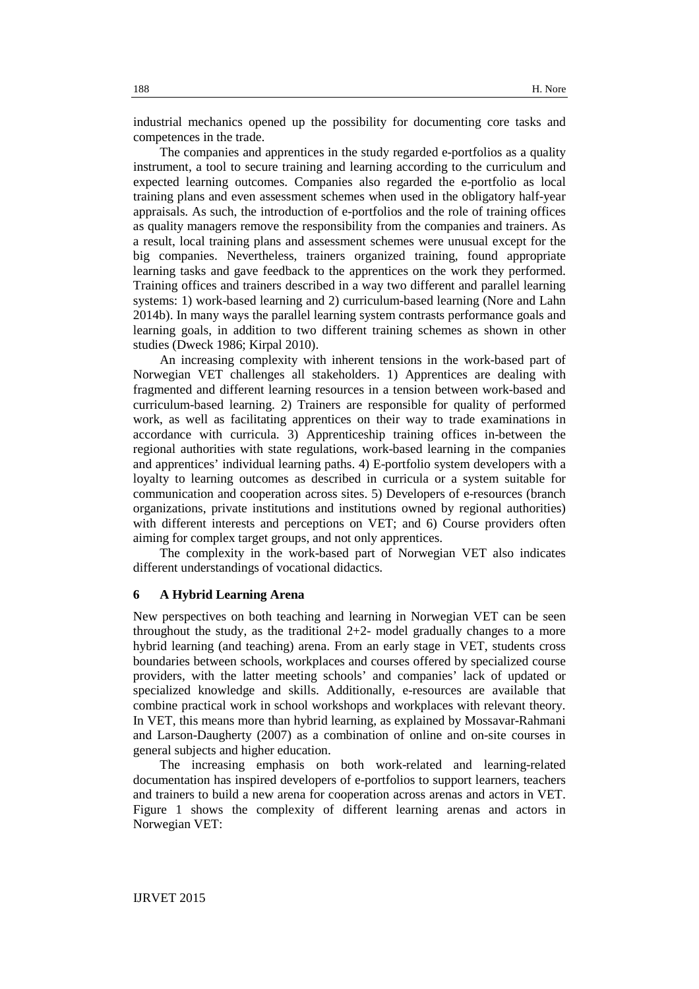industrial mechanics opened up the possibility for documenting core tasks and competences in the trade.

The companies and apprentices in the study regarded e-portfolios as a quality instrument, a tool to secure training and learning according to the curriculum and expected learning outcomes. Companies also regarded the e-portfolio as local training plans and even assessment schemes when used in the obligatory half-year appraisals. As such, the introduction of e-portfolios and the role of training offices as quality managers remove the responsibility from the companies and trainers. As a result, local training plans and assessment schemes were unusual except for the big companies. Nevertheless, trainers organized training, found appropriate learning tasks and gave feedback to the apprentices on the work they performed. Training offices and trainers described in a way two different and parallel learning systems: 1) work-based learning and 2) curriculum-based learning (Nore and Lahn 2014b). In many ways the parallel learning system contrasts performance goals and learning goals, in addition to two different training schemes as shown in other studies (Dweck 1986; Kirpal 2010).

An increasing complexity with inherent tensions in the work-based part of Norwegian VET challenges all stakeholders. 1) Apprentices are dealing with fragmented and different learning resources in a tension between work-based and curriculum-based learning. 2) Trainers are responsible for quality of performed work, as well as facilitating apprentices on their way to trade examinations in accordance with curricula. 3) Apprenticeship training offices in-between the regional authorities with state regulations, work-based learning in the companies and apprentices' individual learning paths. 4) E-portfolio system developers with a loyalty to learning outcomes as described in curricula or a system suitable for communication and cooperation across sites. 5) Developers of e-resources (branch organizations, private institutions and institutions owned by regional authorities) with different interests and perceptions on VET; and 6) Course providers often aiming for complex target groups, and not only apprentices.

The complexity in the work-based part of Norwegian VET also indicates different understandings of vocational didactics.

# **6 A Hybrid Learning Arena**

New perspectives on both teaching and learning in Norwegian VET can be seen throughout the study, as the traditional  $2+2$ - model gradually changes to a more hybrid learning (and teaching) arena. From an early stage in VET, students cross boundaries between schools, workplaces and courses offered by specialized course providers, with the latter meeting schools' and companies' lack of updated or specialized knowledge and skills. Additionally, e-resources are available that combine practical work in school workshops and workplaces with relevant theory. In VET, this means more than hybrid learning, as explained by Mossavar-Rahmani and Larson-Daugherty (2007) as a combination of online and on-site courses in general subjects and higher education.

The increasing emphasis on both work-related and learning-related documentation has inspired developers of e-portfolios to support learners, teachers and trainers to build a new arena for cooperation across arenas and actors in VET. Figure 1 shows the complexity of different learning arenas and actors in Norwegian VET:

IJRVET 2015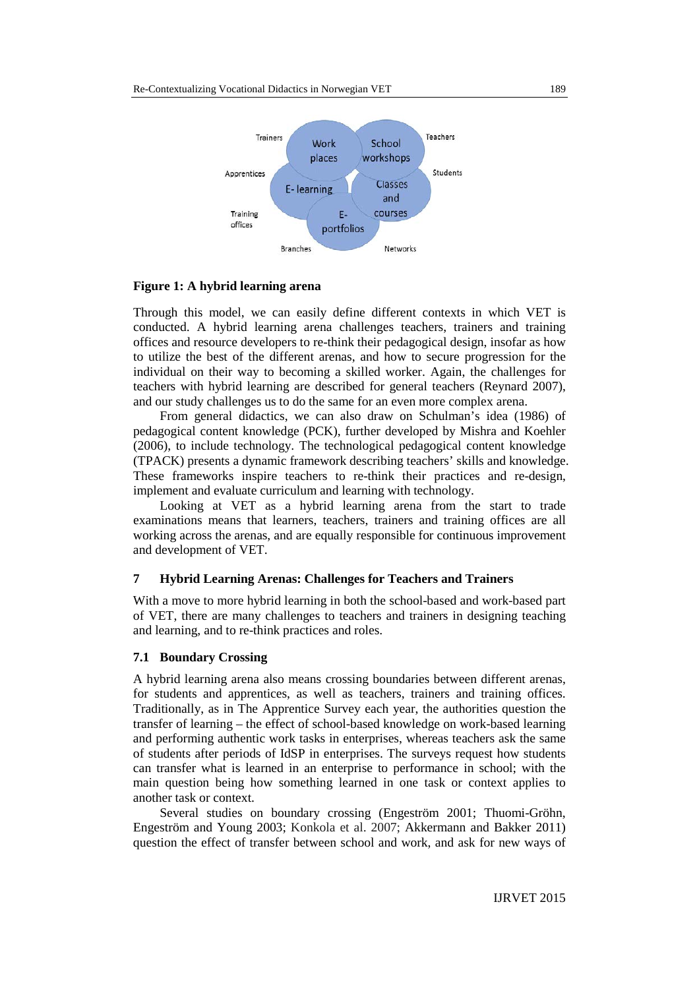

#### **Figure 1: A hybrid learning arena**

Through this model, we can easily define different contexts in which VET is conducted. A hybrid learning arena challenges teachers, trainers and training offices and resource developers to re-think their pedagogical design, insofar as how to utilize the best of the different arenas, and how to secure progression for the individual on their way to becoming a skilled worker. Again, the challenges for teachers with hybrid learning are described for general teachers (Reynard 2007), and our study challenges us to do the same for an even more complex arena.

From general didactics, we can also draw on Schulman's idea (1986) of pedagogical content knowledge (PCK), further developed by Mishra and Koehler (2006), to include technology. The technological pedagogical content knowledge (TPACK) presents a dynamic framework describing teachers' skills and knowledge. These frameworks inspire teachers to re-think their practices and re-design, implement and evaluate curriculum and learning with technology.

Looking at VET as a hybrid learning arena from the start to trade examinations means that learners, teachers, trainers and training offices are all working across the arenas, and are equally responsible for continuous improvement and development of VET.

# **7 Hybrid Learning Arenas: Challenges for Teachers and Trainers**

With a move to more hybrid learning in both the school-based and work-based part of VET, there are many challenges to teachers and trainers in designing teaching and learning, and to re-think practices and roles.

### **7.1 Boundary Crossing**

A hybrid learning arena also means crossing boundaries between different arenas, for students and apprentices, as well as teachers, trainers and training offices. Traditionally, as in The Apprentice Survey each year, the authorities question the transfer of learning – the effect of school-based knowledge on work-based learning and performing authentic work tasks in enterprises, whereas teachers ask the same of students after periods of IdSP in enterprises. The surveys request how students can transfer what is learned in an enterprise to performance in school; with the main question being how something learned in one task or context applies to another task or context.

Several studies on boundary crossing (Engeström 2001; Thuomi-Gröhn, Engeström and Young 2003; Konkola et al. 2007; Akkermann and Bakker 2011) question the effect of transfer between school and work, and ask for new ways of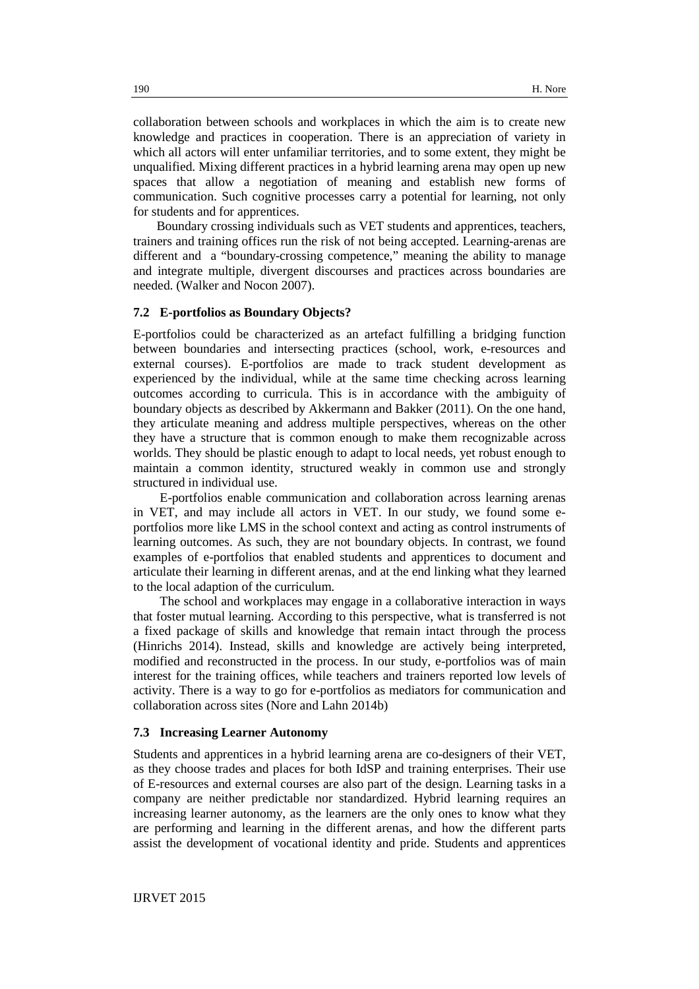collaboration between schools and workplaces in which the aim is to create new knowledge and practices in cooperation. There is an appreciation of variety in which all actors will enter unfamiliar territories, and to some extent, they might be unqualified. Mixing different practices in a hybrid learning arena may open up new spaces that allow a negotiation of meaning and establish new forms of communication. Such cognitive processes carry a potential for learning, not only for students and for apprentices.

Boundary crossing individuals such as VET students and apprentices, teachers, trainers and training offices run the risk of not being accepted. Learning-arenas are different and a "boundary-crossing competence," meaning the ability to manage and integrate multiple, divergent discourses and practices across boundaries are needed. (Walker and Nocon 2007).

#### **7.2 E-portfolios as Boundary Objects?**

E-portfolios could be characterized as an artefact fulfilling a bridging function between boundaries and intersecting practices (school, work, e-resources and external courses). E-portfolios are made to track student development as experienced by the individual, while at the same time checking across learning outcomes according to curricula. This is in accordance with the ambiguity of boundary objects as described by Akkermann and Bakker (2011). On the one hand, they articulate meaning and address multiple perspectives, whereas on the other they have a structure that is common enough to make them recognizable across worlds. They should be plastic enough to adapt to local needs, yet robust enough to maintain a common identity, structured weakly in common use and strongly structured in individual use.

E-portfolios enable communication and collaboration across learning arenas in VET, and may include all actors in VET. In our study, we found some eportfolios more like LMS in the school context and acting as control instruments of learning outcomes. As such, they are not boundary objects. In contrast, we found examples of e-portfolios that enabled students and apprentices to document and articulate their learning in different arenas, and at the end linking what they learned to the local adaption of the curriculum.

The school and workplaces may engage in a collaborative interaction in ways that foster mutual learning. According to this perspective, what is transferred is not a fixed package of skills and knowledge that remain intact through the process (Hinrichs 2014). Instead, skills and knowledge are actively being interpreted, modified and reconstructed in the process. In our study, e-portfolios was of main interest for the training offices, while teachers and trainers reported low levels of activity. There is a way to go for e-portfolios as mediators for communication and collaboration across sites (Nore and Lahn 2014b)

### **7.3 Increasing Learner Autonomy**

Students and apprentices in a hybrid learning arena are co-designers of their VET, as they choose trades and places for both IdSP and training enterprises. Their use of E-resources and external courses are also part of the design. Learning tasks in a company are neither predictable nor standardized. Hybrid learning requires an increasing learner autonomy, as the learners are the only ones to know what they are performing and learning in the different arenas, and how the different parts assist the development of vocational identity and pride. Students and apprentices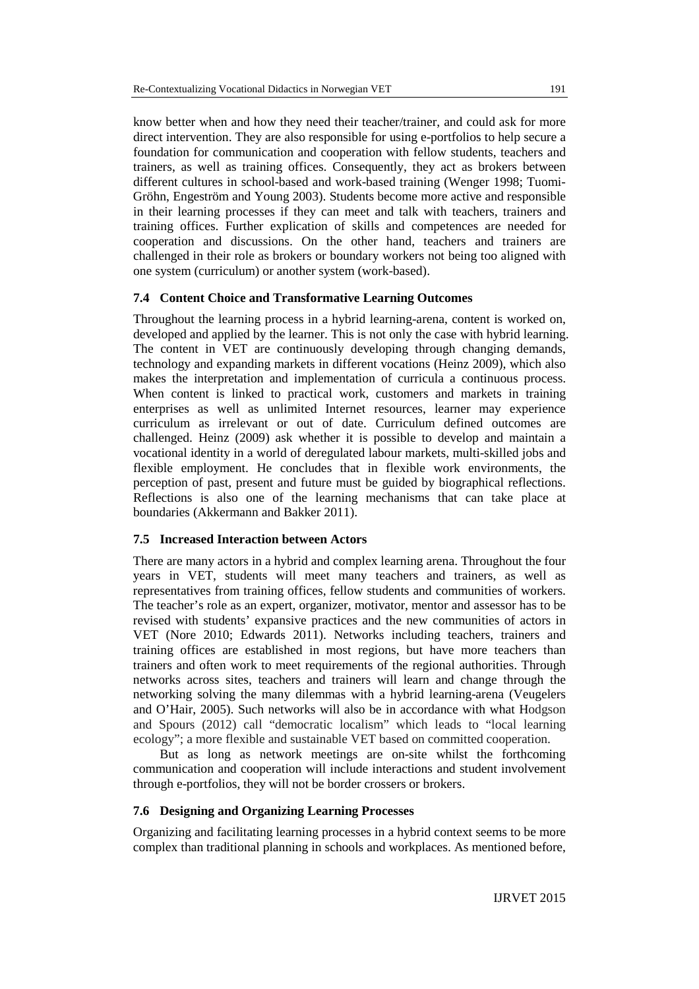know better when and how they need their teacher/trainer, and could ask for more direct intervention. They are also responsible for using e-portfolios to help secure a foundation for communication and cooperation with fellow students, teachers and trainers, as well as training offices. Consequently, they act as brokers between different cultures in school-based and work-based training (Wenger 1998; Tuomi-Gröhn, Engeström and Young 2003). Students become more active and responsible in their learning processes if they can meet and talk with teachers, trainers and training offices. Further explication of skills and competences are needed for cooperation and discussions. On the other hand, teachers and trainers are challenged in their role as brokers or boundary workers not being too aligned with one system (curriculum) or another system (work-based).

# **7.4 Content Choice and Transformative Learning Outcomes**

Throughout the learning process in a hybrid learning-arena, content is worked on, developed and applied by the learner. This is not only the case with hybrid learning. The content in VET are continuously developing through changing demands, technology and expanding markets in different vocations (Heinz 2009), which also makes the interpretation and implementation of curricula a continuous process. When content is linked to practical work, customers and markets in training enterprises as well as unlimited Internet resources, learner may experience curriculum as irrelevant or out of date. Curriculum defined outcomes are challenged. Heinz (2009) ask whether it is possible to develop and maintain a vocational identity in a world of deregulated labour markets, multi-skilled jobs and flexible employment. He concludes that in flexible work environments, the perception of past, present and future must be guided by biographical reflections. Reflections is also one of the learning mechanisms that can take place at boundaries (Akkermann and Bakker 2011).

# **7.5 Increased Interaction between Actors**

There are many actors in a hybrid and complex learning arena. Throughout the four years in VET, students will meet many teachers and trainers, as well as representatives from training offices, fellow students and communities of workers. The teacher's role as an expert, organizer, motivator, mentor and assessor has to be revised with students' expansive practices and the new communities of actors in VET (Nore 2010; Edwards 2011). Networks including teachers, trainers and training offices are established in most regions, but have more teachers than trainers and often work to meet requirements of the regional authorities. Through networks across sites, teachers and trainers will learn and change through the networking solving the many dilemmas with a hybrid learning-arena (Veugelers and O'Hair, 2005). Such networks will also be in accordance with what Hodgson and Spours (2012) call "democratic localism" which leads to "local learning ecology"; a more flexible and sustainable VET based on committed cooperation.

But as long as network meetings are on-site whilst the forthcoming communication and cooperation will include interactions and student involvement through e-portfolios, they will not be border crossers or brokers.

# **7.6 Designing and Organizing Learning Processes**

Organizing and facilitating learning processes in a hybrid context seems to be more complex than traditional planning in schools and workplaces. As mentioned before,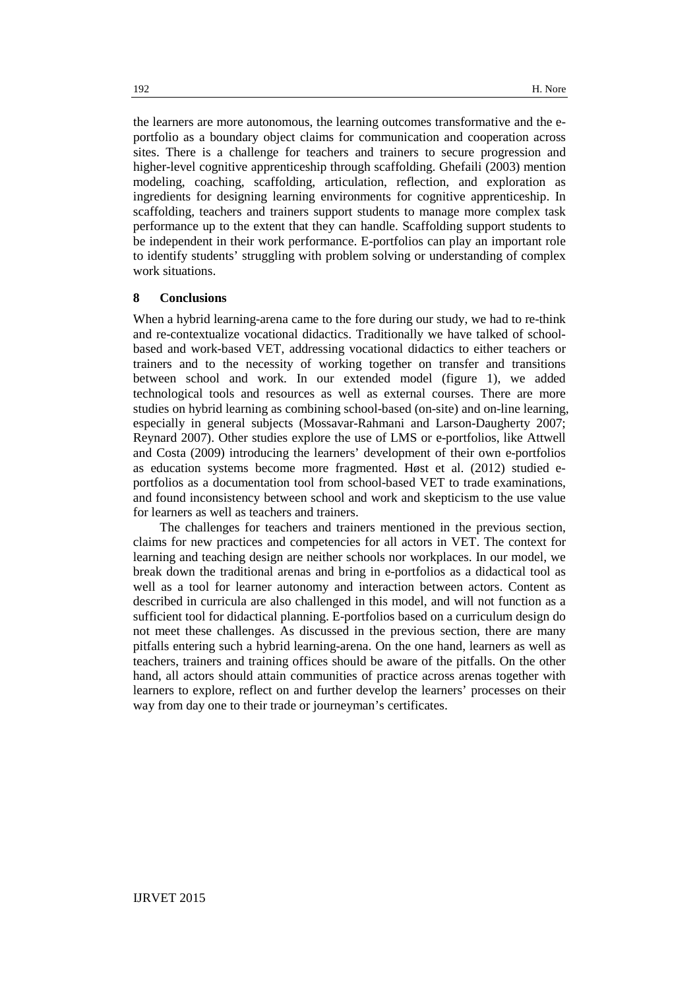the learners are more autonomous, the learning outcomes transformative and the eportfolio as a boundary object claims for communication and cooperation across sites. There is a challenge for teachers and trainers to secure progression and higher-level cognitive apprenticeship through scaffolding. Ghefaili (2003) mention modeling, coaching, scaffolding, articulation, reflection, and exploration as ingredients for designing learning environments for cognitive apprenticeship. In scaffolding, teachers and trainers support students to manage more complex task performance up to the extent that they can handle. Scaffolding support students to be independent in their work performance. E-portfolios can play an important role to identify students' struggling with problem solving or understanding of complex work situations.

# **8 Conclusions**

When a hybrid learning-arena came to the fore during our study, we had to re-think and re-contextualize vocational didactics. Traditionally we have talked of schoolbased and work-based VET, addressing vocational didactics to either teachers or trainers and to the necessity of working together on transfer and transitions between school and work. In our extended model (figure 1), we added technological tools and resources as well as external courses. There are more studies on hybrid learning as combining school-based (on-site) and on-line learning, especially in general subjects (Mossavar-Rahmani and Larson-Daugherty 2007; Reynard 2007). Other studies explore the use of LMS or e-portfolios, like Attwell and Costa (2009) introducing the learners' development of their own e-portfolios as education systems become more fragmented. Høst et al. (2012) studied eportfolios as a documentation tool from school-based VET to trade examinations, and found inconsistency between school and work and skepticism to the use value for learners as well as teachers and trainers.

The challenges for teachers and trainers mentioned in the previous section, claims for new practices and competencies for all actors in VET. The context for learning and teaching design are neither schools nor workplaces. In our model, we break down the traditional arenas and bring in e-portfolios as a didactical tool as well as a tool for learner autonomy and interaction between actors. Content as described in curricula are also challenged in this model, and will not function as a sufficient tool for didactical planning. E-portfolios based on a curriculum design do not meet these challenges. As discussed in the previous section, there are many pitfalls entering such a hybrid learning-arena. On the one hand, learners as well as teachers, trainers and training offices should be aware of the pitfalls. On the other hand, all actors should attain communities of practice across arenas together with learners to explore, reflect on and further develop the learners' processes on their way from day one to their trade or journeyman's certificates.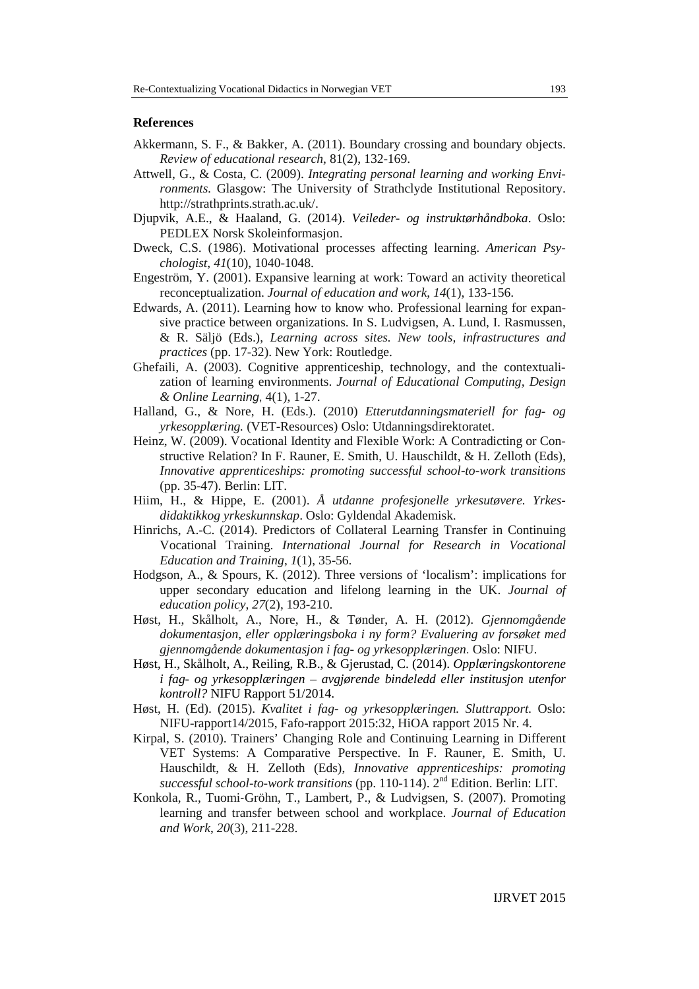# **References**

- Akkermann, S. F., & Bakker, A. (2011). Boundary crossing and boundary objects. *Review of educational research*, 81(2), 132-169.
- Attwell, G., & Costa, C. (2009). *Integrating personal learning and working Environments.* Glasgow: The University of Strathclyde Institutional Repository. http://strathprints.strath.ac.uk/.
- Djupvik, A.E., & Haaland, G. (2014). *Veileder- og instruktørhåndboka*. Oslo: PEDLEX Norsk Skoleinformasjon.
- Dweck, C.S. (1986). Motivational processes affecting learning. *American Psychologist*, *41*(10), 1040-1048.
- Engeström, Y. (2001). Expansive learning at work: Toward an activity theoretical reconceptualization. *Journal of education and work*, *14*(1), 133-156.
- Edwards, A. (2011). Learning how to know who. Professional learning for expansive practice between organizations. In S. Ludvigsen, A. Lund, I. Rasmussen, & R. Säljö (Eds.), *Learning across sites. New tools, infrastructures and practices* (pp. 17-32). New York: Routledge.
- Ghefaili, A. (2003). Cognitive apprenticeship, technology, and the contextualization of learning environments. *Journal of Educational Computing, Design & Online Learning*, 4(1), 1-27.
- Halland, G., & Nore, H. (Eds.). (2010) *Etterutdanningsmateriell for fag- og yrkesopplæring.* (VET-Resources) Oslo: Utdanningsdirektoratet.
- Heinz, W. (2009). Vocational Identity and Flexible Work: A Contradicting or Constructive Relation? In F. Rauner, E. Smith, U. Hauschildt, & H. Zelloth (Eds), *Innovative apprenticeships: promoting successful school-to-work transitions* (pp. 35-47). Berlin: LIT.
- Hiim, H., & Hippe, E. (2001). *Å utdanne profesjonelle yrkesutøvere. Yrkesdidaktikkog yrkeskunnskap*. Oslo: Gyldendal Akademisk.
- Hinrichs, A.-C. (2014). Predictors of Collateral Learning Transfer in Continuing Vocational Training. *International Journal for Research in Vocational Education and Training*, *1*(1), 35-56.
- Hodgson, A., & Spours, K. (2012). Three versions of 'localism': implications for upper secondary education and lifelong learning in the UK. *Journal of education policy*, *27*(2), 193-210.
- Høst, H., Skålholt, A., Nore, H., & Tønder, A. H. (2012). *Gjennomgående dokumentasjon, eller opplæringsboka i ny form? Evaluering av forsøket med gjennomgående dokumentasjon i fag- og yrkesopplæringen*. Oslo: NIFU.
- Høst, H., Skålholt, A., Reiling, R.B., & Gjerustad, C. (2014). *Opplæringskontorene i fag- og yrkesopplæringen – avgjørende bindeledd eller institusjon utenfor kontroll?* NIFU Rapport 51/2014.
- Høst, H. (Ed). (2015). *Kvalitet i fag- og yrkesopplæringen. Sluttrapport.* Oslo: NIFU-rapport14/2015, Fafo-rapport 2015:32, HiOA rapport 2015 Nr. 4.
- Kirpal, S. (2010). Trainers' Changing Role and Continuing Learning in Different VET Systems: A Comparative Perspective. In F. Rauner, E. Smith, U. Hauschildt, & H. Zelloth (Eds), *Innovative apprenticeships: promoting successful school-to-work transitions* (pp. 110-114). 2nd Edition. Berlin: LIT.
- Konkola, R., Tuomi‐Gröhn, T., Lambert, P., & Ludvigsen, S. (2007). Promoting learning and transfer between school and workplace. *Journal of Education and Work*, *20*(3), 211-228.